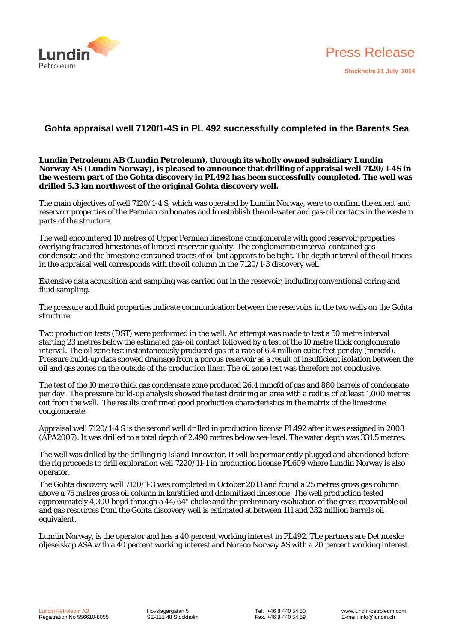



# **Gohta appraisal well 7120/1-4S in PL 492 successfully completed in the Barents Sea**

**Lundin Petroleum AB (Lundin Petroleum), through its wholly owned subsidiary Lundin Norway AS (Lundin Norway), is pleased to announce that drilling of appraisal well 7120/1-4S in the western part of the Gohta discovery in PL492 has been successfully completed. The well was drilled 5.3 km northwest of the original Gohta discovery well.** 

The main objectives of well 7120/1-4 S, which was operated by Lundin Norway, were to confirm the extent and reservoir properties of the Permian carbonates and to establish the oil-water and gas-oil contacts in the western parts of the structure.

The well encountered 10 metres of Upper Permian limestone conglomerate with good reservoir properties overlying fractured limestones of limited reservoir quality. The conglomeratic interval contained gas condensate and the limestone contained traces of oil but appears to be tight. The depth interval of the oil traces in the appraisal well corresponds with the oil column in the 7120/1-3 discovery well.

Extensive data acquisition and sampling was carried out in the reservoir, including conventional coring and fluid sampling.

The pressure and fluid properties indicate communication between the reservoirs in the two wells on the Gohta structure.

Two production tests (DST) were performed in the well. An attempt was made to test a 50 metre interval starting 23 metres below the estimated gas-oil contact followed by a test of the 10 metre thick conglomerate interval. The oil zone test instantaneously produced gas at a rate of 6.4 million cubic feet per day (mmcfd). Pressure build-up data showed drainage from a porous reservoir as a result of insufficient isolation between the oil and gas zones on the outside of the production liner. The oil zone test was therefore not conclusive.

The test of the 10 metre thick gas condensate zone produced 26.4 mmcfd of gas and 880 barrels of condensate per day. The pressure build-up analysis showed the test draining an area with a radius of at least 1,000 metres out from the well. The results confirmed good production characteristics in the matrix of the limestone conglomerate.

Appraisal well 7120/1-4 S is the second well drilled in production license PL492 after it was assigned in 2008 (APA2007). It was drilled to a total depth of 2,490 metres below sea-level. The water depth was 331.5 metres.

The well was drilled by the drilling rig Island Innovator. It will be permanently plugged and abandoned before the rig proceeds to drill exploration well 7220/11-1 in production license PL609 where Lundin Norway is also operator.

The Gohta discovery well 7120/1-3 was completed in October 2013 and found a 25 metres gross gas column above a 75 metres gross oil column in karstified and dolomitized limestone. The well production tested approximately 4,300 bopd through a 44/64" choke and the preliminary evaluation of the gross recoverable oil and gas resources from the Gohta discovery well is estimated at between 111 and 232 million barrels oil equivalent.

Lundin Norway, is the operator and has a 40 percent working interest in PL492. The partners are Det norske oljeselskap ASA with a 40 percent working interest and Noreco Norway AS with a 20 percent working interest.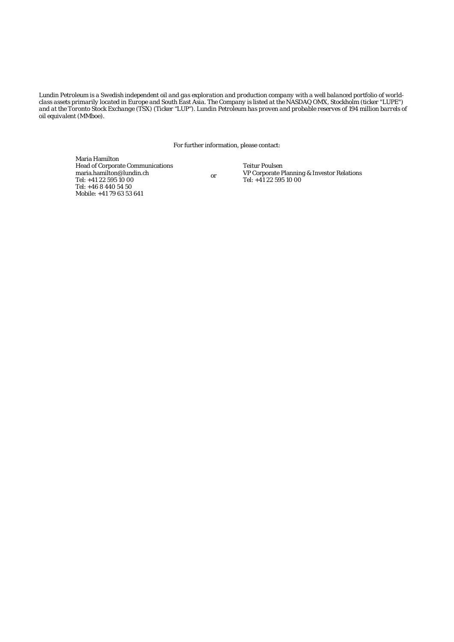*Lundin Petroleum is a Swedish independent oil and gas exploration and production company with a well balanced portfolio of worldclass assets primarily located in Europe and South East Asia. The Company is listed at the NASDAQ OMX, Stockholm (ticker "LUPE")*  and at the Toronto Stock Exchange (TSX) (Ticker "LUP"). Lundin Petroleum has proven and probable reserves of 194 million barrels of *oil equivalent (MMboe).* 

For further information, please contact:

Maria Hamilton Head of Corporate Communications maria.hamilton@lundin.ch Tel: +41 22 595 10 00 Tel: +46 8 440 54 50 Mobile: +41 79 63 53 641

or

Teitur Poulsen VP Corporate Planning & Investor Relations Tel: +41 22 595 10 00